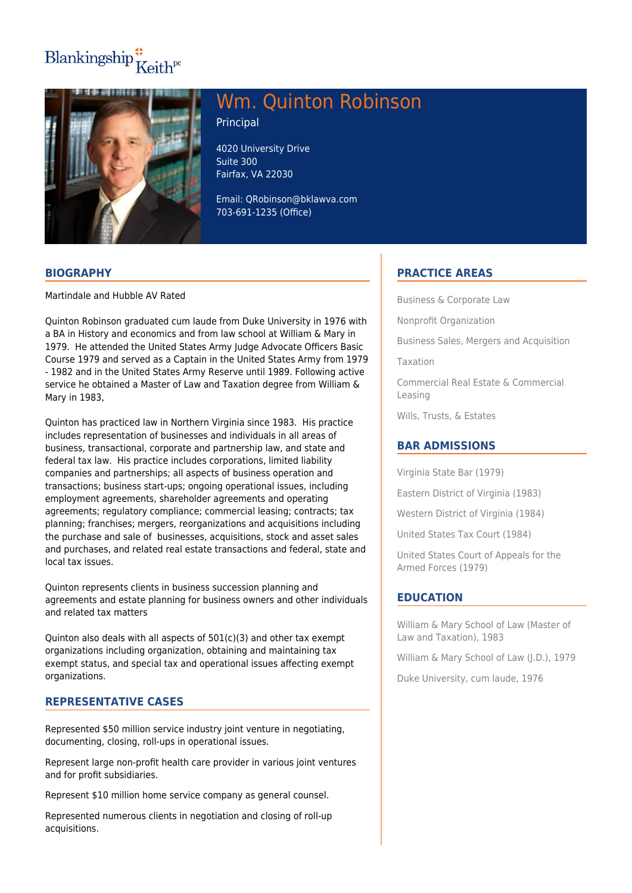# $\text{Blankingship}^{\bullet}_{\mathbf{K}eith^{pc}}$



# Wm. Quinton Robinson

Principal

4020 University Drive Suite 300 Fairfax, VA 22030

Email: QRobinson@bklawva.com 703-691-1235 (Office)

### **BIOGRAPHY**

Martindale and Hubble AV Rated

Quinton Robinson graduated cum laude from Duke University in 1976 with a BA in History and economics and from law school at William & Mary in 1979. He attended the United States Army Judge Advocate Officers Basic Course 1979 and served as a Captain in the United States Army from 1979 - 1982 and in the United States Army Reserve until 1989. Following active service he obtained a Master of Law and Taxation degree from William & Mary in 1983,

Quinton has practiced law in Northern Virginia since 1983. His practice includes representation of businesses and individuals in all areas of business, transactional, corporate and partnership law, and state and federal tax law. His practice includes corporations, limited liability companies and partnerships; all aspects of business operation and transactions; business start-ups; ongoing operational issues, including employment agreements, shareholder agreements and operating agreements; regulatory compliance; commercial leasing; contracts; tax planning; franchises; mergers, reorganizations and acquisitions including the purchase and sale of businesses, acquisitions, stock and asset sales and purchases, and related real estate transactions and federal, state and local tax issues.

Quinton represents clients in business succession planning and agreements and estate planning for business owners and other individuals and related tax matters

Quinton also deals with all aspects of 501(c)(3) and other tax exempt organizations including organization, obtaining and maintaining tax exempt status, and special tax and operational issues affecting exempt organizations.

# **REPRESENTATIVE CASES**

Represented \$50 million service industry joint venture in negotiating, documenting, closing, roll-ups in operational issues.

Represent large non-profit health care provider in various joint ventures and for profit subsidiaries.

Represent \$10 million home service company as general counsel.

Represented numerous clients in negotiation and closing of roll-up acquisitions.

# **PRACTICE AREAS**

Business & Corporate Law

Nonprofit Organization

Business Sales, Mergers and Acquisition

Taxation

Commercial Real Estate & Commercial Leasing

Wills, Trusts, & Estates

# **BAR ADMISSIONS**

Virginia State Bar (1979)

Eastern District of Virginia (1983)

Western District of Virginia (1984)

United States Tax Court (1984)

United States Court of Appeals for the Armed Forces (1979)

# **EDUCATION**

William & Mary School of Law (Master of Law and Taxation), 1983

William & Mary School of Law (J.D.), 1979

Duke University, cum laude, 1976